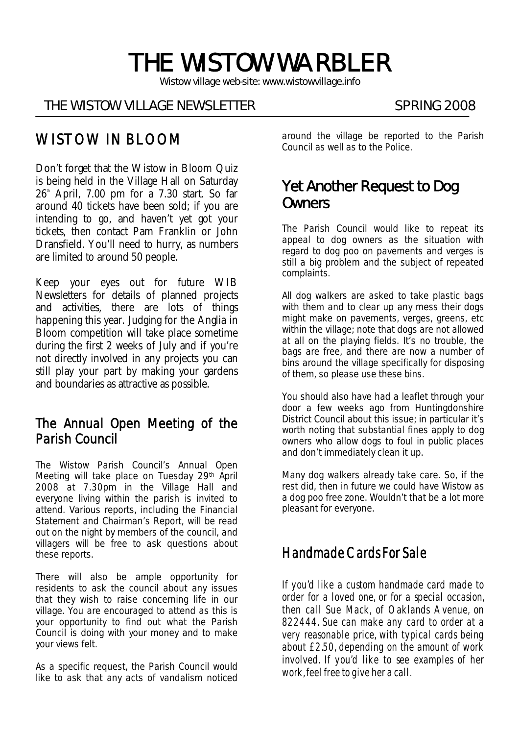# THE WISTOW WARBLER

*Wistow village web-site: www.wistowvillage.info* 

İ

#### THE WISTOW VILLAGE NEWSLETTER SPRING 2008

# WISTOW IN BLOOM

Don't forget that the Wistow in Bloom Quiz is being held in the Village Hall on Saturday  $26<sup>th</sup>$  April, 7.00 pm for a 7.30 start. So far around 40 tickets have been sold; if you are intending to go, and haven't yet got your tickets, then contact Pam Franklin or John Dransfield. You'll need to hurry, as numbers are limited to around 50 people.

Keep your eyes out for future WIB Newsletters for details of planned projects and activities, there are lots of things happening this year. Judging for the Anglia in Bloom competition will take place sometime during the first 2 weeks of July and if you're not directly involved in any projects you can still play your part by making your gardens and boundaries as attractive as possible.

### The Annual Open Meeting of the Parish Council

The Wistow Parish Council's Annual Open Meeting will take place on Tuesday 29th April 2008 at 7.30pm in the Village Hall and everyone living within the parish is invited to attend. Various reports, including the Financial Statement and Chairman's Report, will be read out on the night by members of the council, and villagers will be free to ask questions about these reports.

There will also be ample opportunity for residents to ask the council about any issues that they wish to raise concerning life in our village. You are encouraged to attend as this is your opportunity to find out what the Parish Council is doing with your money and to make your views felt.

As a specific request, the Parish Council would like to ask that any acts of vandalism noticed around the village be reported to the Parish Council as well as to the Police.

# Yet Another Request to Dog **Owners**

The Parish Council would like to repeat its appeal to dog owners as the situation with regard to dog poo on pavements and verges is still a big problem and the subject of repeated complaints.

All dog walkers are asked to take plastic bags with them and to clear up any mess their dogs might make on pavements, verges, greens, etc within the village; note that dogs are not allowed at all on the playing fields. It's no trouble, the bags are free, and there are now a number of bins around the village specifically for disposing of them, so please use these bins.

You should also have had a leaflet through your door a few weeks ago from Huntingdonshire District Council about this issue; in particular it's worth noting that substantial fines apply to dog owners who allow dogs to foul in public places and don't immediately clean it up.

Many dog walkers already take care. So, if the rest did, then in future we could have Wistow as a dog poo free zone. Wouldn't that be a lot more pleasant for everyone.

# Handmade Cards For Sale

If you'd like a custom handmade card made to order for a loved one, or for a special occasion, then call Sue Mack, of Oaklands Avenue, on 822444. Sue can make any card to order at a very reasonable price, with typical cards being about £2.50, depending on the amount of work involved. If you'd like to see examples of her work, feel free to give her a call.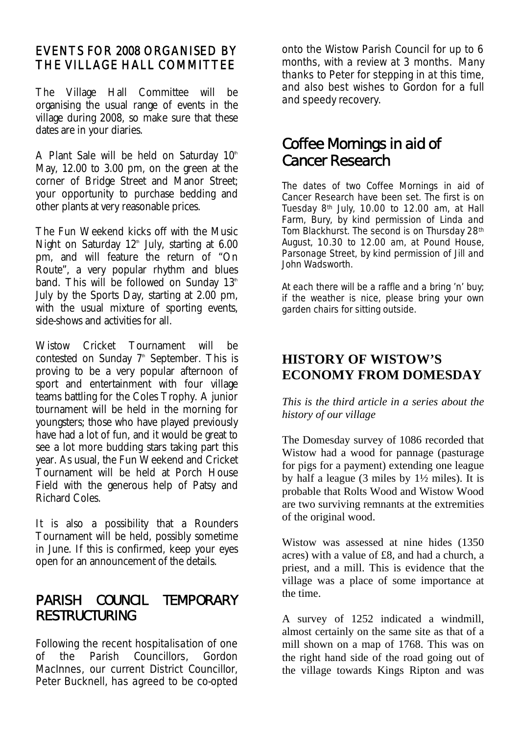#### EVENTS FOR 2008 ORGANISED BY THE VILLAGE HALL COMMITTEE

The Village Hall Committee will be organising the usual range of events in the village during 2008, so make sure that these dates are in your diaries.

A Plant Sale will be held on Saturday  $10<sup>th</sup>$ May, 12.00 to 3.00 pm, on the green at the corner of Bridge Street and Manor Street; your opportunity to purchase bedding and other plants at very reasonable prices.

The Fun Weekend kicks off with the Music Night on Saturday  $12<sup>th</sup>$  July, starting at 6.00 pm, and will feature the return of "On Route", a very popular rhythm and blues band. This will be followed on Sunday  $13<sup>th</sup>$ July by the Sports Day, starting at 2.00 pm, with the usual mixture of sporting events, side-shows and activities for all.

Wistow Cricket Tournament will be contested on Sunday  $7^{\text{th}}$  September. This is proving to be a very popular afternoon of sport and entertainment with four village teams battling for the Coles Trophy. A junior tournament will be held in the morning for youngsters; those who have played previously have had a lot of fun, and it would be great to see a lot more budding stars taking part this year. As usual, the Fun Weekend and Cricket Tournament will be held at Porch House Field with the generous help of Patsy and Richard Coles.

It is also a possibility that a Rounders Tournament will be held, possibly sometime in June. If this is confirmed, keep your eyes open for an announcement of the details.

## PARISH COUNCIL TEMPORARY RESTRUCTURING

Following the recent hospitalisation of one of the Parish Councillors, Gordon MacInnes, our current District Councillor, Peter Bucknell, has agreed to be co-opted

onto the Wistow Parish Council for up to 6 months, with a review at 3 months. Many thanks to Peter for stepping in at this time, and also best wishes to Gordon for a full and speedy recovery.

# Coffee Mornings in aid of Cancer Research

The dates of two Coffee Mornings in aid of Cancer Research have been set. The first is on Tuesday 8th July, 10.00 to 12.00 am, at Hall Farm, Bury, by kind permission of Linda and Tom Blackhurst. The second is on Thursday 28th August, 10.30 to 12.00 am, at Pound House, Parsonage Street, by kind permission of Jill and John Wadsworth.

At each there will be a raffle and a bring 'n' buy; if the weather is nice, please bring your own garden chairs for sitting outside.

#### **HISTORY OF WISTOW'S ECONOMY FROM DOMESDAY**

*This is the third article in a series about the history of our village* 

The Domesday survey of 1086 recorded that Wistow had a wood for pannage (pasturage for pigs for a payment) extending one league by half a league (3 miles by 1½ miles). It is probable that Rolts Wood and Wistow Wood are two surviving remnants at the extremities of the original wood.

Wistow was assessed at nine hides (1350 acres) with a value of £8, and had a church, a priest, and a mill. This is evidence that the village was a place of some importance at the time.

A survey of 1252 indicated a windmill, almost certainly on the same site as that of a mill shown on a map of 1768. This was on the right hand side of the road going out of the village towards Kings Ripton and was